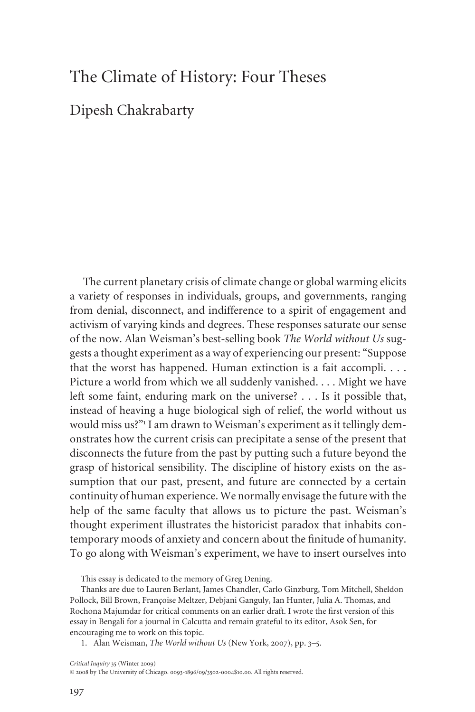# The Climate of History: Four Theses Dipesh Chakrabarty

The current planetary crisis of climate change or global warming elicits a variety of responses in individuals, groups, and governments, ranging from denial, disconnect, and indifference to a spirit of engagement and activism of varying kinds and degrees. These responses saturate our sense of the now. Alan Weisman's best-selling book *The World without Us* suggests a thought experiment as a way of experiencing our present: "Suppose that the worst has happened. Human extinction is a fait accompli.... Picture a world from which we all suddenly vanished.... Might we have left some faint, enduring mark on the universe? . . . Is it possible that, instead of heaving a huge biological sigh of relief, the world without us would miss us?"<sup>1</sup> I am drawn to Weisman's experiment as it tellingly demonstrates how the current crisis can precipitate a sense of the present that disconnects the future from the past by putting such a future beyond the grasp of historical sensibility. The discipline of history exists on the assumption that our past, present, and future are connected by a certain continuity of human experience. We normally envisage the future with the help of the same faculty that allows us to picture the past. Weisman's thought experiment illustrates the historicist paradox that inhabits contemporary moods of anxiety and concern about the finitude of humanity. To go along with Weisman's experiment, we have to insert ourselves into

This essay is dedicated to the memory of Greg Dening.

Thanks are due to Lauren Berlant, James Chandler, Carlo Ginzburg, Tom Mitchell, Sheldon Pollock, Bill Brown, Françoise Meltzer, Debjani Ganguly, Ian Hunter, Julia A. Thomas, and Rochona Majumdar for critical comments on an earlier draft. I wrote the first version of this essay in Bengali for a journal in Calcutta and remain grateful to its editor, Asok Sen, for encouraging me to work on this topic.

1. Alan Weisman, *The World without Us* (New York, 2007), pp. 3–5.

<sup>©</sup> 2008 by The University of Chicago. 0093-1896/09/3502-0004\$10.00. All rights reserved.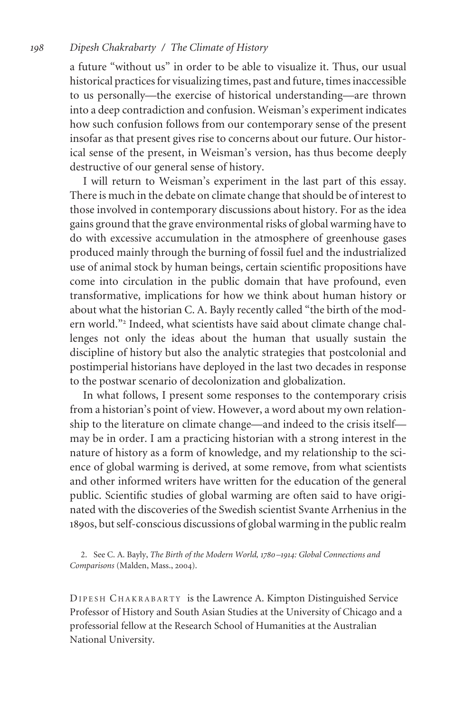a future "without us" in order to be able to visualize it. Thus, our usual historical practices for visualizing times, past and future, times inaccessible to us personally—the exercise of historical understanding—are thrown into a deep contradiction and confusion. Weisman's experiment indicates how such confusion follows from our contemporary sense of the present insofar as that present gives rise to concerns about our future. Our historical sense of the present, in Weisman's version, has thus become deeply destructive of our general sense of history.

I will return to Weisman's experiment in the last part of this essay. There is much in the debate on climate change that should be of interest to those involved in contemporary discussions about history. For as the idea gains ground that the grave environmental risks of global warming have to do with excessive accumulation in the atmosphere of greenhouse gases produced mainly through the burning of fossil fuel and the industrialized use of animal stock by human beings, certain scientific propositions have come into circulation in the public domain that have profound, even transformative, implications for how we think about human history or about what the historian C. A. Bayly recently called "the birth of the modern world."<sup>2</sup> Indeed, what scientists have said about climate change challenges not only the ideas about the human that usually sustain the discipline of history but also the analytic strategies that postcolonial and postimperial historians have deployed in the last two decades in response to the postwar scenario of decolonization and globalization.

In what follows, I present some responses to the contemporary crisis from a historian's point of view. However, a word about my own relationship to the literature on climate change—and indeed to the crisis itself may be in order. I am a practicing historian with a strong interest in the nature of history as a form of knowledge, and my relationship to the science of global warming is derived, at some remove, from what scientists and other informed writers have written for the education of the general public. Scientific studies of global warming are often said to have originated with the discoveries of the Swedish scientist Svante Arrhenius in the 1890s, but self-conscious discussions of global warming in the public realm

2. See C. A. Bayly, *The Birth of the Modern World, 1780–1914: Global Connections and Comparisons* (Malden, Mass., 2004).

DIPESH C HAKRABARTY is the Lawrence A. Kimpton Distinguished Service Professor of History and South Asian Studies at the University of Chicago and a professorial fellow at the Research School of Humanities at the Australian National University.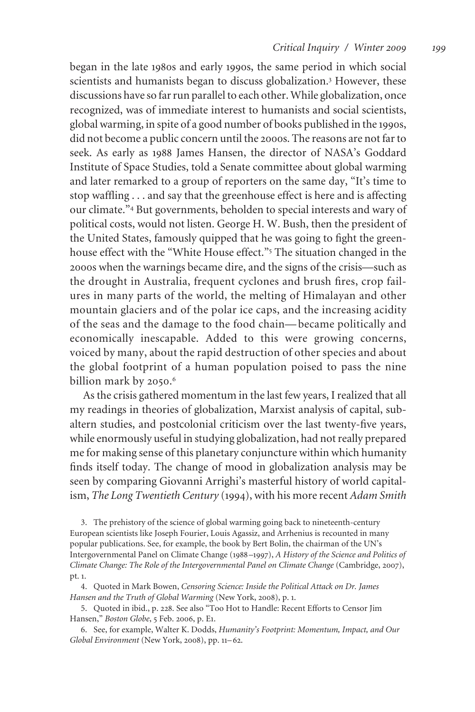began in the late 1980s and early 1990s, the same period in which social scientists and humanists began to discuss globalization.<sup>3</sup> However, these discussions have so far run parallel to each other. While globalization, once recognized, was of immediate interest to humanists and social scientists, global warming, in spite of a good number of books published in the 1990s, did not become a public concern until the 2000s. The reasons are not far to seek. As early as 1988 James Hansen, the director of NASA's Goddard Institute of Space Studies, told a Senate committee about global warming and later remarked to a group of reporters on the same day, "It's time to stop waffling . . . and say that the greenhouse effect is here and is affecting our climate."<sup>4</sup> But governments, beholden to special interests and wary of political costs, would not listen. George H. W. Bush, then the president of the United States, famously quipped that he was going to fight the greenhouse effect with the "White House effect."<sup>5</sup> The situation changed in the 2000s when the warnings became dire, and the signs of the crisis—such as the drought in Australia, frequent cyclones and brush fires, crop failures in many parts of the world, the melting of Himalayan and other mountain glaciers and of the polar ice caps, and the increasing acidity of the seas and the damage to the food chain— became politically and economically inescapable. Added to this were growing concerns, voiced by many, about the rapid destruction of other species and about the global footprint of a human population poised to pass the nine billion mark by 2050. 6

As the crisis gathered momentum in the last few years, I realized that all my readings in theories of globalization, Marxist analysis of capital, subaltern studies, and postcolonial criticism over the last twenty-five years, while enormously useful in studying globalization, had not really prepared me for making sense of this planetary conjuncture within which humanity finds itself today. The change of mood in globalization analysis may be seen by comparing Giovanni Arrighi's masterful history of world capitalism, *The Long Twentieth Century* (1994), with his more recent *Adam Smith*

3. The prehistory of the science of global warming going back to nineteenth-century European scientists like Joseph Fourier, Louis Agassiz, and Arrhenius is recounted in many popular publications. See, for example, the book by Bert Bolin, the chairman of the UN's Intergovernmental Panel on Climate Change (1988–1997), *A History of the Science and Politics of Climate Change: The Role of the Intergovernmental Panel on Climate Change* (Cambridge, 2007), pt. 1.

4. Quoted in Mark Bowen, *Censoring Science: Inside the Political Attack on Dr. James Hansen and the Truth of Global Warming* (New York, 2008), p. 1.

5. Quoted in ibid., p. 228. See also "Too Hot to Handle: Recent Efforts to Censor Jim Hansen," *Boston Globe*, 5 Feb. 2006, p. E1.

6. See, for example, Walter K. Dodds, *Humanity's Footprint: Momentum, Impact, and Our Global Environment* (New York, 2008), pp. 11–62.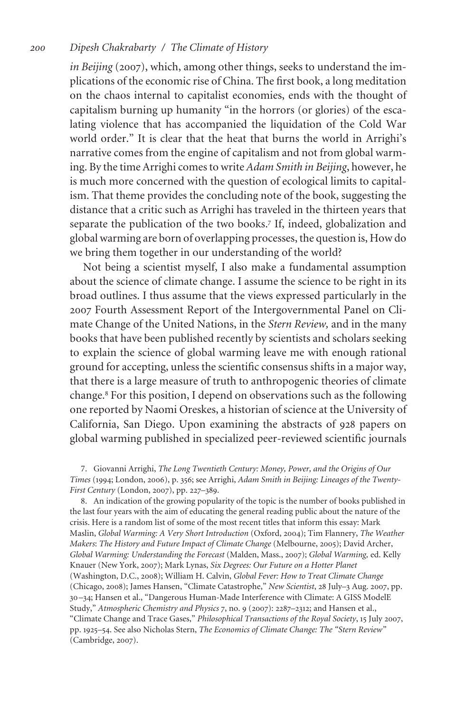*in Beijing* (2007), which, among other things, seeks to understand the implications of the economic rise of China. The first book, a long meditation on the chaos internal to capitalist economies, ends with the thought of capitalism burning up humanity "in the horrors (or glories) of the escalating violence that has accompanied the liquidation of the Cold War world order." It is clear that the heat that burns the world in Arrighi's narrative comes from the engine of capitalism and not from global warming. By the time Arrighi comes to write *Adam Smith in Beijing*, however, he is much more concerned with the question of ecological limits to capitalism. That theme provides the concluding note of the book, suggesting the distance that a critic such as Arrighi has traveled in the thirteen years that separate the publication of the two books.<sup>7</sup> If, indeed, globalization and global warming are born of overlapping processes, the question is, How do we bring them together in our understanding of the world?

Not being a scientist myself, I also make a fundamental assumption about the science of climate change. I assume the science to be right in its broad outlines. I thus assume that the views expressed particularly in the 2007 Fourth Assessment Report of the Intergovernmental Panel on Climate Change of the United Nations, in the *Stern Review,* and in the many books that have been published recently by scientists and scholars seeking to explain the science of global warming leave me with enough rational ground for accepting, unless the scientific consensus shifts in a major way, that there is a large measure of truth to anthropogenic theories of climate change.<sup>8</sup> For this position, I depend on observations such as the following one reported by Naomi Oreskes, a historian of science at the University of California, San Diego. Upon examining the abstracts of 928 papers on global warming published in specialized peer-reviewed scientific journals

7. Giovanni Arrighi, *The Long Twentieth Century: Money, Power, and the Origins of Our Times* (1994; London, 2006), p. 356; see Arrighi, *Adam Smith in Beijing: Lineages of the Twenty-First Century* (London, 2007), pp. 227–389.

8. An indication of the growing popularity of the topic is the number of books published in the last four years with the aim of educating the general reading public about the nature of the crisis. Here is a random list of some of the most recent titles that inform this essay: Mark Maslin, *Global Warming: A Very Short Introduction* (Oxford, 2004); Tim Flannery, *The Weather Makers*: *The History and Future Impact of Climate Change* (Melbourne, 2005); David Archer, *Global Warming: Understanding the Forecast* (Malden, Mass., 2007); *Global Warming,* ed. Kelly Knauer (New York, 2007); Mark Lynas, *Six Degrees: Our Future on a Hotter Planet* (Washington, D.C., 2008); William H. Calvin, *Global Fever: How to Treat Climate Change* (Chicago, 2008); James Hansen, "Climate Catastrophe," *New Scientist*, 28 July–3 Aug. 2007, pp. 30–34; Hansen et al., "Dangerous Human-Made Interference with Climate: A GISS ModelE Study," *Atmospheric Chemistry and Physics* 7, no. 9 (2007): 2287–2312; and Hansen et al., "Climate Change and Trace Gases," *Philosophical Transactions of the Royal Society*, 15 July 2007, pp. 1925–54. See also Nicholas Stern, *The Economics of Climate Change: The "Stern Review"* (Cambridge, 2007).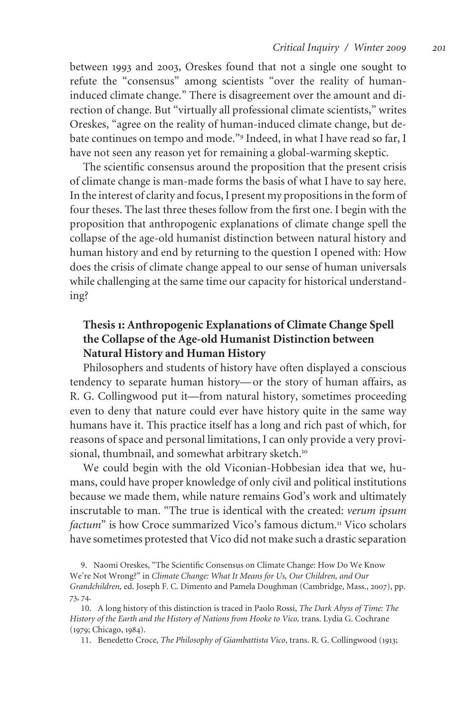between 1993 and 2003, Oreskes found that not a single one sought to refute the "consensus" among scientists "over the reality of humaninduced climate change." There is disagreement over the amount and direction of change. But "virtually all professional climate scientists," writes Oreskes, "agree on the reality of human-induced climate change, but debate continues on tempo and mode."<sup>9</sup> Indeed, in what I have read so far, I have not seen any reason yet for remaining a global-warming skeptic.

The scientific consensus around the proposition that the present crisis of climate change is man-made forms the basis of what I have to say here. In the interest of clarity and focus, I present my propositions in the form of four theses. The last three theses follow from the first one. I begin with the proposition that anthropogenic explanations of climate change spell the collapse of the age-old humanist distinction between natural history and human history and end by returning to the question I opened with: How does the crisis of climate change appeal to our sense of human universals while challenging at the same time our capacity for historical understanding?

# **Thesis 1: Anthropogenic Explanations of Climate Change Spell the Collapse of the Age-old Humanist Distinction between Natural History and Human History**

Philosophers and students of history have often displayed a conscious tendency to separate human history— or the story of human affairs, as R. G. Collingwood put it—from natural history, sometimes proceeding even to deny that nature could ever have history quite in the same way humans have it. This practice itself has a long and rich past of which, for reasons of space and personal limitations, I can only provide a very provisional, thumbnail, and somewhat arbitrary sketch.<sup>10</sup>

We could begin with the old Viconian-Hobbesian idea that we, humans, could have proper knowledge of only civil and political institutions because we made them, while nature remains God's work and ultimately inscrutable to man. "The true is identical with the created: *verum ipsum factum*" is how Croce summarized Vico's famous dictum.<sup>11</sup> Vico scholars have sometimes protested that Vico did not make such a drastic separation

9. Naomi Oreskes, "The Scientific Consensus on Climate Change: How Do We Know We're Not Wrong?" in *Climate Change: What It Means for Us, Our Children, and Our Grandchildren,* ed. Joseph F. C. Dimento and Pamela Doughman (Cambridge, Mass., 2007), pp. 73, 74.

10. A long history of this distinction is traced in Paolo Rossi, *The Dark Abyss of Time: The History of the Earth and the History of Nations from Hooke to Vico,* trans. Lydia G. Cochrane (1979; Chicago, 1984).

11. Benedetto Croce, *The Philosophy of Giambattista Vico*, trans. R. G. Collingwood (1913;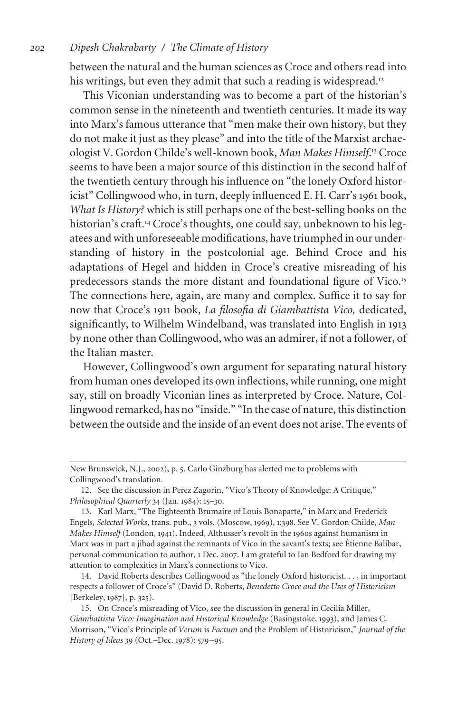between the natural and the human sciences as Croce and others read into his writings, but even they admit that such a reading is widespread.<sup>12</sup>

This Viconian understanding was to become a part of the historian's common sense in the nineteenth and twentieth centuries. It made its way into Marx's famous utterance that "men make their own history, but they do not make it just as they please" and into the title of the Marxist archaeologist V. Gordon Childe's well-known book, *Man Makes Himself*. <sup>13</sup> Croce seems to have been a major source of this distinction in the second half of the twentieth century through his influence on "the lonely Oxford historicist" Collingwood who, in turn, deeply influenced E. H. Carr's 1961 book, *What Is History?* which is still perhaps one of the best-selling books on the historian's craft.<sup>14</sup> Croce's thoughts, one could say, unbeknown to his legatees and with unforeseeable modifications, have triumphed in our understanding of history in the postcolonial age. Behind Croce and his adaptations of Hegel and hidden in Croce's creative misreading of his predecessors stands the more distant and foundational figure of Vico.<sup>15</sup> The connections here, again, are many and complex. Suffice it to say for now that Croce's 1911 book, *La filosofia di Giambattista Vico,* dedicated, significantly, to Wilhelm Windelband, was translated into English in 1913 by none other than Collingwood, who was an admirer, if not a follower, of the Italian master.

However, Collingwood's own argument for separating natural history from human ones developed its own inflections, while running, one might say, still on broadly Viconian lines as interpreted by Croce. Nature, Collingwood remarked, has no "inside." "In the case of nature, this distinction between the outside and the inside of an event does not arise. The events of

14. David Roberts describes Collingwood as "the lonely Oxford historicist. . . , in important respects a follower of Croce's" (David D. Roberts, *Benedetto Croce and the Uses of Historicism* [Berkeley, 1987], p. 325).

New Brunswick, N.J., 2002), p. 5. Carlo Ginzburg has alerted me to problems with Collingwood's translation.

<sup>12.</sup> See the discussion in Perez Zagorin, "Vico's Theory of Knowledge: A Critique," *Philosophical Quarterly* 34 (Jan. 1984): 15–30.

<sup>13.</sup> Karl Marx, "The Eighteenth Brumaire of Louis Bonaparte," in Marx and Frederick Engels, *Selected Works*, trans. pub., 3 vols. (Moscow, 1969), 1:398. See V. Gordon Childe, *Man Makes Himself* (London, 1941). Indeed, Althusser's revolt in the 1960s against humanism in Marx was in part a jihad against the remnants of Vico in the savant's texts; see Étienne Balibar, personal communication to author, 1 Dec. 2007. I am grateful to Ian Bedford for drawing my attention to complexities in Marx's connections to Vico.

<sup>15.</sup> On Croce's misreading of Vico, see the discussion in general in Cecilia Miller, *Giambattista Vico: Imagination and Historical Knowledge* (Basingstoke, 1993), and James C. Morrison, "Vico's Principle of *Verum* is *Factum* and the Problem of Historicism," *Journal of the History of Ideas* 39 (Oct.–Dec. 1978): 579–95.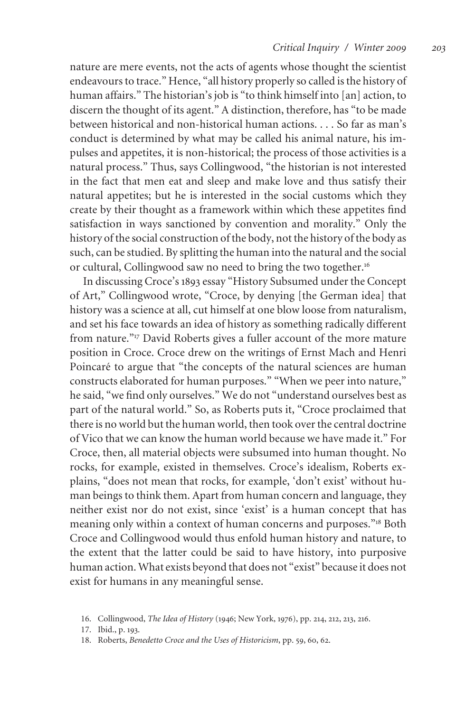nature are mere events, not the acts of agents whose thought the scientist endeavours to trace." Hence, "all history properly so called is the history of human affairs." The historian's job is "to think himself into [an] action, to discern the thought of its agent." A distinction, therefore, has "to be made between historical and non-historical human actions. . . . So far as man's conduct is determined by what may be called his animal nature, his impulses and appetites, it is non-historical; the process of those activities is a natural process." Thus, says Collingwood, "the historian is not interested in the fact that men eat and sleep and make love and thus satisfy their natural appetites; but he is interested in the social customs which they create by their thought as a framework within which these appetites find satisfaction in ways sanctioned by convention and morality." Only the history of the social construction of the body, not the history of the body as such, can be studied. By splitting the human into the natural and the social or cultural, Collingwood saw no need to bring the two together.<sup>16</sup>

In discussing Croce's 1893 essay "History Subsumed under the Concept of Art," Collingwood wrote, "Croce, by denying [the German idea] that history was a science at all, cut himself at one blow loose from naturalism, and set his face towards an idea of history as something radically different from nature."<sup>17</sup> David Roberts gives a fuller account of the more mature position in Croce. Croce drew on the writings of Ernst Mach and Henri Poincaré to argue that "the concepts of the natural sciences are human constructs elaborated for human purposes." "When we peer into nature," he said, "we find only ourselves." We do not "understand ourselves best as part of the natural world." So, as Roberts puts it, "Croce proclaimed that there is no world but the human world, then took over the central doctrine of Vico that we can know the human world because we have made it." For Croce, then, all material objects were subsumed into human thought. No rocks, for example, existed in themselves. Croce's idealism, Roberts explains, "does not mean that rocks, for example, 'don't exist' without human beings to think them. Apart from human concern and language, they neither exist nor do not exist, since 'exist' is a human concept that has meaning only within a context of human concerns and purposes."<sup>18</sup> Both Croce and Collingwood would thus enfold human history and nature, to the extent that the latter could be said to have history, into purposive human action. What exists beyond that does not "exist" because it does not exist for humans in any meaningful sense.

- 17. Ibid., p. 193.
- 18. Roberts, *Benedetto Croce and the Uses of Historicism*, pp. 59, 60, 62.

<sup>16.</sup> Collingwood, *The Idea of History* (1946; New York, 1976), pp. 214, 212, 213, 216.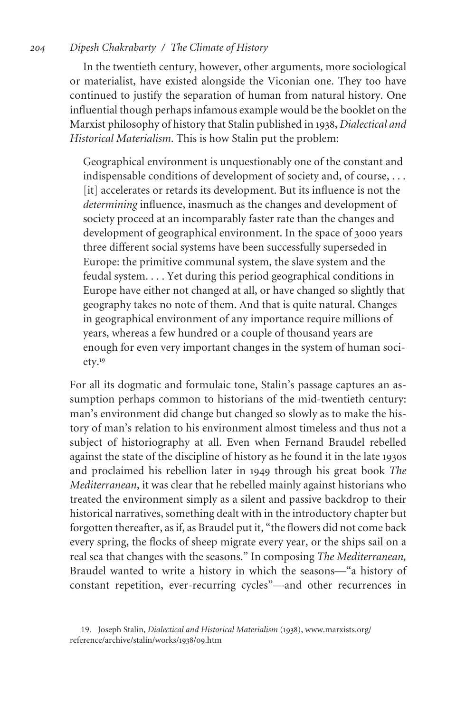In the twentieth century, however, other arguments, more sociological or materialist, have existed alongside the Viconian one. They too have continued to justify the separation of human from natural history. One influential though perhaps infamous example would be the booklet on the Marxist philosophy of history that Stalin published in 1938, *Dialectical and Historical Materialism*. This is how Stalin put the problem:

Geographical environment is unquestionably one of the constant and indispensable conditions of development of society and, of course,... [it] accelerates or retards its development. But its influence is not the *determining* influence, inasmuch as the changes and development of society proceed at an incomparably faster rate than the changes and development of geographical environment. In the space of 3000 years three different social systems have been successfully superseded in Europe: the primitive communal system, the slave system and the feudal system. . . . Yet during this period geographical conditions in Europe have either not changed at all, or have changed so slightly that geography takes no note of them. And that is quite natural. Changes in geographical environment of any importance require millions of years, whereas a few hundred or a couple of thousand years are enough for even very important changes in the system of human society.<sup>19</sup>

For all its dogmatic and formulaic tone, Stalin's passage captures an assumption perhaps common to historians of the mid-twentieth century: man's environment did change but changed so slowly as to make the history of man's relation to his environment almost timeless and thus not a subject of historiography at all. Even when Fernand Braudel rebelled against the state of the discipline of history as he found it in the late 1930s and proclaimed his rebellion later in 1949 through his great book *The Mediterranean*, it was clear that he rebelled mainly against historians who treated the environment simply as a silent and passive backdrop to their historical narratives, something dealt with in the introductory chapter but forgotten thereafter, as if, as Braudel put it, "the flowers did not come back every spring, the flocks of sheep migrate every year, or the ships sail on a real sea that changes with the seasons." In composing *The Mediterranean,* Braudel wanted to write a history in which the seasons—"a history of constant repetition, ever-recurring cycles"—and other recurrences in

<sup>19.</sup> Joseph Stalin, *Dialectical and Historical Materialism* (1938), www.marxists.org/ reference/archive/stalin/works/1938/09.htm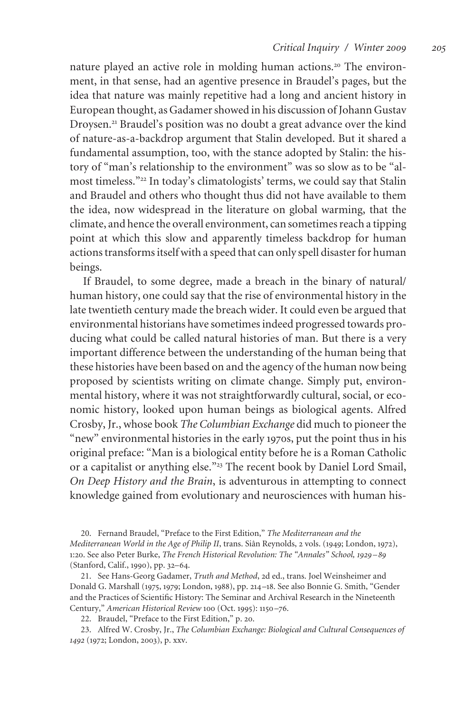nature played an active role in molding human actions.<sup>20</sup> The environment, in that sense, had an agentive presence in Braudel's pages, but the idea that nature was mainly repetitive had a long and ancient history in European thought, as Gadamer showed in his discussion of Johann Gustav Droysen.<sup>21</sup> Braudel's position was no doubt a great advance over the kind of nature-as-a-backdrop argument that Stalin developed. But it shared a fundamental assumption, too, with the stance adopted by Stalin: the history of "man's relationship to the environment" was so slow as to be "almost timeless."<sup>22</sup> In today's climatologists' terms, we could say that Stalin and Braudel and others who thought thus did not have available to them the idea, now widespread in the literature on global warming, that the climate, and hence the overall environment, can sometimes reach a tipping point at which this slow and apparently timeless backdrop for human actions transforms itself with a speed that can only spell disaster for human beings.

If Braudel, to some degree, made a breach in the binary of natural/ human history, one could say that the rise of environmental history in the late twentieth century made the breach wider. It could even be argued that environmental historians have sometimes indeed progressed towards producing what could be called natural histories of man. But there is a very important difference between the understanding of the human being that these histories have been based on and the agency of the human now being proposed by scientists writing on climate change. Simply put, environmental history, where it was not straightforwardly cultural, social, or economic history, looked upon human beings as biological agents. Alfred Crosby, Jr., whose book *The Columbian Exchange* did much to pioneer the "new" environmental histories in the early 1970s, put the point thus in his original preface: "Man is a biological entity before he is a Roman Catholic or a capitalist or anything else."<sup>23</sup> The recent book by Daniel Lord Smail, *On Deep History and the Brain*, is adventurous in attempting to connect knowledge gained from evolutionary and neurosciences with human his-

20. Fernand Braudel, "Preface to the First Edition," *The Mediterranean and the Mediterranean World in the Age of Philip II*, trans. Siân Reynolds, 2 vols. (1949; London, 1972), 1:20. See also Peter Burke, *The French Historical Revolution: The "Annales" School, 1929–89* (Stanford, Calif., 1990), pp. 32–64.

21. See Hans-Georg Gadamer, *Truth and Method*, 2d ed., trans. Joel Weinsheimer and Donald G. Marshall (1975, 1979; London, 1988), pp. 214–18. See also Bonnie G. Smith, "Gender and the Practices of Scientific History: The Seminar and Archival Research in the Nineteenth Century," *American Historical Review* 100 (Oct. 1995): 1150–76.

22. Braudel, "Preface to the First Edition," p. 20.

23. Alfred W. Crosby, Jr., *The Columbian Exchange: Biological and Cultural Consequences of 1492* (1972; London, 2003), p. xxv.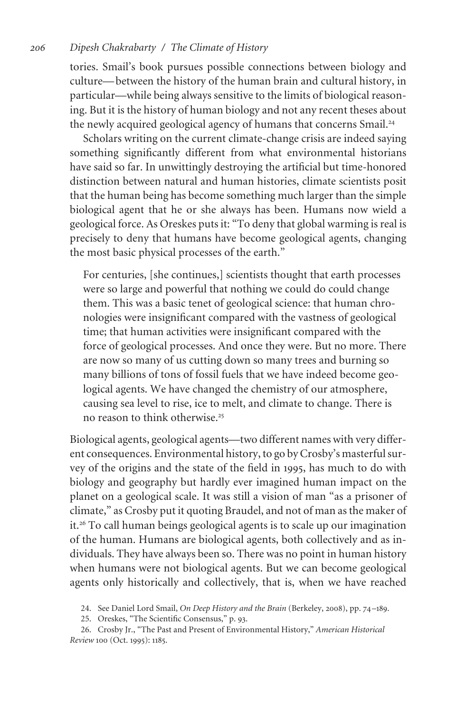tories. Smail's book pursues possible connections between biology and culture— between the history of the human brain and cultural history, in particular—while being always sensitive to the limits of biological reasoning. But it is the history of human biology and not any recent theses about the newly acquired geological agency of humans that concerns Smail.<sup>24</sup>

Scholars writing on the current climate-change crisis are indeed saying something significantly different from what environmental historians have said so far. In unwittingly destroying the artificial but time-honored distinction between natural and human histories, climate scientists posit that the human being has become something much larger than the simple biological agent that he or she always has been. Humans now wield a geological force. As Oreskes puts it: "To deny that global warming is real is precisely to deny that humans have become geological agents, changing the most basic physical processes of the earth."

For centuries, [she continues,] scientists thought that earth processes were so large and powerful that nothing we could do could change them. This was a basic tenet of geological science: that human chronologies were insignificant compared with the vastness of geological time; that human activities were insignificant compared with the force of geological processes. And once they were. But no more. There are now so many of us cutting down so many trees and burning so many billions of tons of fossil fuels that we have indeed become geological agents. We have changed the chemistry of our atmosphere, causing sea level to rise, ice to melt, and climate to change. There is no reason to think otherwise.<sup>25</sup>

Biological agents, geological agents—two different names with very different consequences. Environmental history, to go by Crosby's masterful survey of the origins and the state of the field in 1995, has much to do with biology and geography but hardly ever imagined human impact on the planet on a geological scale. It was still a vision of man "as a prisoner of climate," as Crosby put it quoting Braudel, and not of man as the maker of it.<sup>26</sup> To call human beings geological agents is to scale up our imagination of the human. Humans are biological agents, both collectively and as individuals. They have always been so. There was no point in human history when humans were not biological agents. But we can become geological agents only historically and collectively, that is, when we have reached

25. Oreskes, "The Scientific Consensus," p. 93.

<sup>24.</sup> See Daniel Lord Smail, *On Deep History and the Brain* (Berkeley, 2008), pp. 74–189.

<sup>26.</sup> Crosby Jr., "The Past and Present of Environmental History," *American Historical Review* 100 (Oct. 1995): 1185.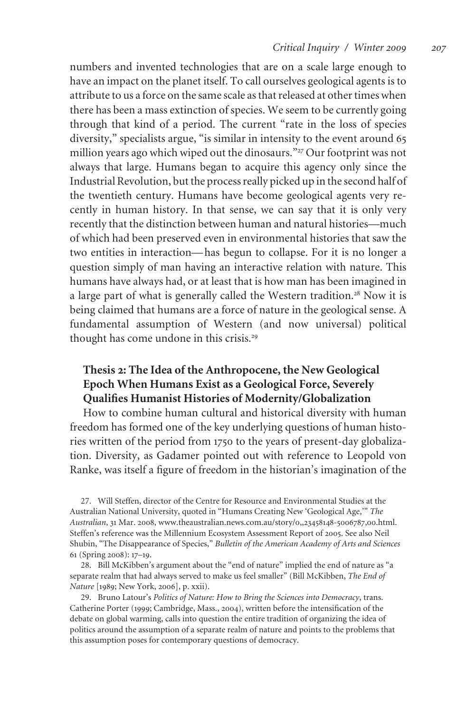numbers and invented technologies that are on a scale large enough to have an impact on the planet itself. To call ourselves geological agents is to attribute to us a force on the same scale as that released at other times when there has been a mass extinction of species. We seem to be currently going through that kind of a period. The current "rate in the loss of species diversity," specialists argue, "is similar in intensity to the event around 65 million years ago which wiped out the dinosaurs."<sup>27</sup> Our footprint was not always that large. Humans began to acquire this agency only since the Industrial Revolution, but the process really picked up in the second half of the twentieth century. Humans have become geological agents very recently in human history. In that sense, we can say that it is only very recently that the distinction between human and natural histories—much of which had been preserved even in environmental histories that saw the two entities in interaction— has begun to collapse. For it is no longer a question simply of man having an interactive relation with nature. This humans have always had, or at least that is how man has been imagined in a large part of what is generally called the Western tradition.<sup>28</sup> Now it is being claimed that humans are a force of nature in the geological sense. A fundamental assumption of Western (and now universal) political thought has come undone in this crisis.<sup>29</sup>

# **Thesis 2: The Idea of the Anthropocene, the New Geological Epoch When Humans Exist as a Geological Force, Severely Qualifies Humanist Histories of Modernity/Globalization**

How to combine human cultural and historical diversity with human freedom has formed one of the key underlying questions of human histories written of the period from 1750 to the years of present-day globalization. Diversity, as Gadamer pointed out with reference to Leopold von Ranke, was itself a figure of freedom in the historian's imagination of the

27. Will Steffen, director of the Centre for Resource and Environmental Studies at the Australian National University, quoted in "Humans Creating New 'Geological Age,'" *The Australian*, 31 Mar. 2008, www.theaustralian.news.com.au/story/0,,23458148-5006787,00.html. Steffen's reference was the Millennium Ecosystem Assessment Report of 2005. See also Neil Shubin, "The Disappearance of Species," *Bulletin of the American Academy of Arts and Sciences* 61 (Spring 2008): 17–19.

28. Bill McKibben's argument about the "end of nature" implied the end of nature as "a separate realm that had always served to make us feel smaller" (Bill McKibben, *The End of Nature* [1989; New York, 2006], p. xxii).

29. Bruno Latour's *Politics of Nature: How to Bring the Sciences into Democracy*, trans. Catherine Porter (1999; Cambridge, Mass., 2004), written before the intensification of the debate on global warming, calls into question the entire tradition of organizing the idea of politics around the assumption of a separate realm of nature and points to the problems that this assumption poses for contemporary questions of democracy.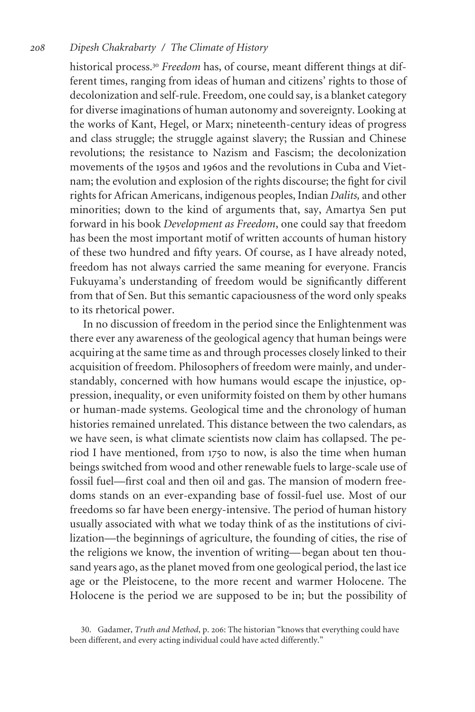historical process.<sup>30</sup> *Freedom* has, of course, meant different things at different times, ranging from ideas of human and citizens' rights to those of decolonization and self-rule. Freedom, one could say, is a blanket category for diverse imaginations of human autonomy and sovereignty. Looking at the works of Kant, Hegel, or Marx; nineteenth-century ideas of progress and class struggle; the struggle against slavery; the Russian and Chinese revolutions; the resistance to Nazism and Fascism; the decolonization movements of the 1950s and 1960s and the revolutions in Cuba and Vietnam; the evolution and explosion of the rights discourse; the fight for civil rights for African Americans, indigenous peoples, Indian *Dalits,* and other minorities; down to the kind of arguments that, say, Amartya Sen put forward in his book *Development as Freedom*, one could say that freedom has been the most important motif of written accounts of human history of these two hundred and fifty years. Of course, as I have already noted, freedom has not always carried the same meaning for everyone. Francis Fukuyama's understanding of freedom would be significantly different from that of Sen. But this semantic capaciousness of the word only speaks to its rhetorical power.

In no discussion of freedom in the period since the Enlightenment was there ever any awareness of the geological agency that human beings were acquiring at the same time as and through processes closely linked to their acquisition of freedom. Philosophers of freedom were mainly, and understandably, concerned with how humans would escape the injustice, oppression, inequality, or even uniformity foisted on them by other humans or human-made systems. Geological time and the chronology of human histories remained unrelated. This distance between the two calendars, as we have seen, is what climate scientists now claim has collapsed. The period I have mentioned, from 1750 to now, is also the time when human beings switched from wood and other renewable fuels to large-scale use of fossil fuel—first coal and then oil and gas. The mansion of modern freedoms stands on an ever-expanding base of fossil-fuel use. Most of our freedoms so far have been energy-intensive. The period of human history usually associated with what we today think of as the institutions of civilization—the beginnings of agriculture, the founding of cities, the rise of the religions we know, the invention of writing— began about ten thousand years ago, as the planet moved from one geological period, the last ice age or the Pleistocene, to the more recent and warmer Holocene. The Holocene is the period we are supposed to be in; but the possibility of

<sup>30.</sup> Gadamer, *Truth and Method*, p. 206: The historian "knows that everything could have been different, and every acting individual could have acted differently."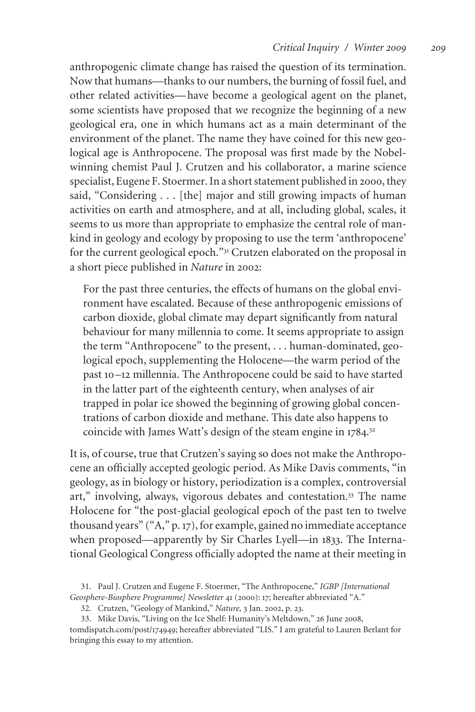anthropogenic climate change has raised the question of its termination. Now that humans—thanks to our numbers, the burning of fossil fuel, and other related activities— have become a geological agent on the planet, some scientists have proposed that we recognize the beginning of a new geological era, one in which humans act as a main determinant of the environment of the planet. The name they have coined for this new geological age is Anthropocene. The proposal was first made by the Nobelwinning chemist Paul J. Crutzen and his collaborator, a marine science specialist, Eugene F. Stoermer. In a short statement published in 2000, they said, "Considering... [the] major and still growing impacts of human activities on earth and atmosphere, and at all, including global, scales, it seems to us more than appropriate to emphasize the central role of mankind in geology and ecology by proposing to use the term 'anthropocene' for the current geological epoch."<sup>31</sup> Crutzen elaborated on the proposal in a short piece published in *Nature* in 2002:

For the past three centuries, the effects of humans on the global environment have escalated. Because of these anthropogenic emissions of carbon dioxide, global climate may depart significantly from natural behaviour for many millennia to come. It seems appropriate to assign the term "Anthropocene" to the present,... human-dominated, geological epoch, supplementing the Holocene—the warm period of the past 10–12 millennia. The Anthropocene could be said to have started in the latter part of the eighteenth century, when analyses of air trapped in polar ice showed the beginning of growing global concentrations of carbon dioxide and methane. This date also happens to coincide with James Watt's design of the steam engine in 1784.<sup>32</sup>

It is, of course, true that Crutzen's saying so does not make the Anthropocene an officially accepted geologic period. As Mike Davis comments, "in geology, as in biology or history, periodization is a complex, controversial art," involving, always, vigorous debates and contestation.<sup>33</sup> The name Holocene for "the post-glacial geological epoch of the past ten to twelve thousand years" ("A," p.17), for example, gained no immediate acceptance when proposed—apparently by Sir Charles Lyell—in 1833. The International Geological Congress officially adopted the name at their meeting in

<sup>31.</sup> Paul J. Crutzen and Eugene F. Stoermer, "The Anthropocene," *IGBP [International Geosphere-Biosphere Programme] Newsletter* 41 (2000): 17; hereafter abbreviated "A."

<sup>32.</sup> Crutzen, "Geology of Mankind," *Nature,* 3 Jan. 2002, p. 23.

<sup>33.</sup> Mike Davis, "Living on the Ice Shelf: Humanity's Meltdown," 26 June 2008, tomdispatch.com/post/174949; hereafter abbreviated "LIS." I am grateful to Lauren Berlant for

bringing this essay to my attention.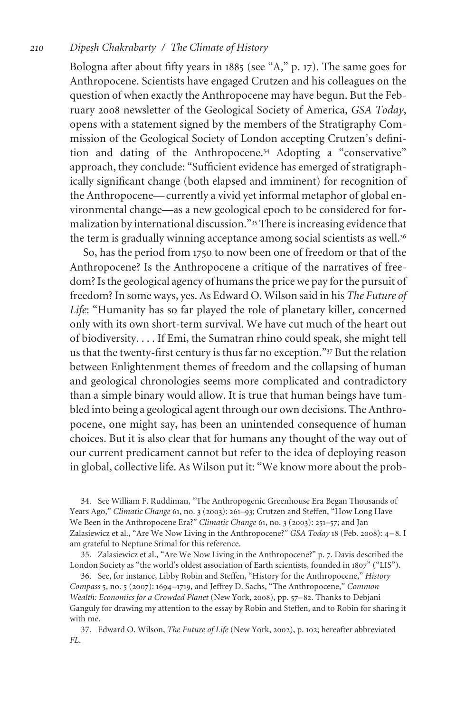Bologna after about fifty years in 1885 (see "A," p. 17). The same goes for Anthropocene. Scientists have engaged Crutzen and his colleagues on the question of when exactly the Anthropocene may have begun. But the February 2008 newsletter of the Geological Society of America, *GSA Today*, opens with a statement signed by the members of the Stratigraphy Commission of the Geological Society of London accepting Crutzen's definition and dating of the Anthropocene.<sup>34</sup> Adopting a "conservative" approach, they conclude: "Sufficient evidence has emerged of stratigraphically significant change (both elapsed and imminent) for recognition of the Anthropocene— currently a vivid yet informal metaphor of global environmental change—as a new geological epoch to be considered for formalization by international discussion."<sup>35</sup> There is increasing evidence that the term is gradually winning acceptance among social scientists as well.<sup>36</sup>

So, has the period from 1750 to now been one of freedom or that of the Anthropocene? Is the Anthropocene a critique of the narratives of freedom? Is the geological agency of humans the price we pay for the pursuit of freedom? In some ways, yes. As Edward O. Wilson said in his *The Future of Life*: "Humanity has so far played the role of planetary killer, concerned only with its own short-term survival. We have cut much of the heart out of biodiversity. . . . If Emi, the Sumatran rhino could speak, she might tell us that the twenty-first century is thus far no exception."<sup>37</sup> But the relation between Enlightenment themes of freedom and the collapsing of human and geological chronologies seems more complicated and contradictory than a simple binary would allow. It is true that human beings have tumbled into being a geological agent through our own decisions. The Anthropocene, one might say, has been an unintended consequence of human choices. But it is also clear that for humans any thought of the way out of our current predicament cannot but refer to the idea of deploying reason in global, collective life. As Wilson put it: "We know more about the prob-

34. See William F. Ruddiman, "The Anthropogenic Greenhouse Era Began Thousands of Years Ago," *Climatic Change* 61, no. 3 (2003): 261–93; Crutzen and Steffen, "How Long Have We Been in the Anthropocene Era?" *Climatic Change* 61, no. 3 (2003): 251–57; and Jan Zalasiewicz et al., "Are We Now Living in the Anthropocene?" *GSA Today* 18 (Feb. 2008): 4–8. I am grateful to Neptune Srimal for this reference.

35. Zalasiewicz et al., "Are We Now Living in the Anthropocene?" p. 7. Davis described the London Society as "the world's oldest association of Earth scientists, founded in 1807" ("LIS").

36. See, for instance, Libby Robin and Steffen, "History for the Anthropocene," *History Compass* 5, no. 5 (2007): 1694–1719, and Jeffrey D. Sachs, "The Anthropocene," *Common Wealth: Economics for a Crowded Planet* (New York, 2008), pp. 57–82. Thanks to Debjani Ganguly for drawing my attention to the essay by Robin and Steffen, and to Robin for sharing it with me.

37. Edward O. Wilson, *The Future of Life* (New York, 2002), p. 102; hereafter abbreviated *FL*.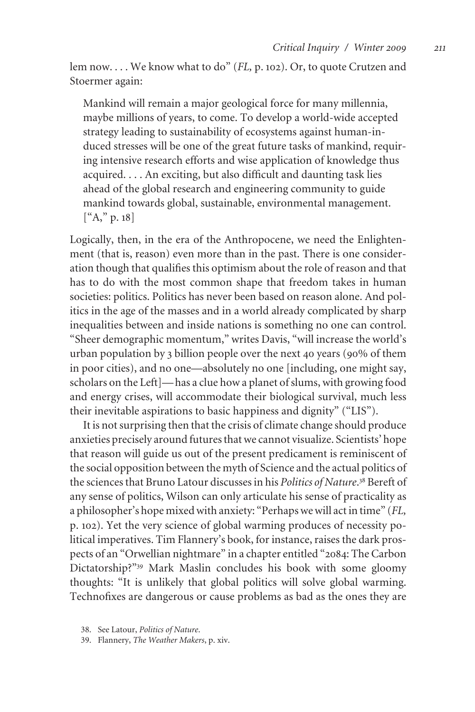lem now. . . . We know what to do" (*FL,* p. 102). Or, to quote Crutzen and Stoermer again:

Mankind will remain a major geological force for many millennia, maybe millions of years, to come. To develop a world-wide accepted strategy leading to sustainability of ecosystems against human-induced stresses will be one of the great future tasks of mankind, requiring intensive research efforts and wise application of knowledge thus acquired. . . . An exciting, but also difficult and daunting task lies ahead of the global research and engineering community to guide mankind towards global, sustainable, environmental management.  $[$ "A," p. 18]

Logically, then, in the era of the Anthropocene, we need the Enlightenment (that is, reason) even more than in the past. There is one consideration though that qualifies this optimism about the role of reason and that has to do with the most common shape that freedom takes in human societies: politics. Politics has never been based on reason alone. And politics in the age of the masses and in a world already complicated by sharp inequalities between and inside nations is something no one can control. "Sheer demographic momentum," writes Davis, "will increase the world's urban population by 3 billion people over the next 40 years (90% of them in poor cities), and no one—absolutely no one [including, one might say, scholars on the Left]— has a clue how a planet of slums, with growing food and energy crises, will accommodate their biological survival, much less their inevitable aspirations to basic happiness and dignity" ("LIS").

It is not surprising then that the crisis of climate change should produce anxieties precisely around futures that we cannot visualize. Scientists' hope that reason will guide us out of the present predicament is reminiscent of the social opposition between the myth of Science and the actual politics of the sciences that Bruno Latour discusses in his *Politics of Nature*. <sup>38</sup> Bereft of any sense of politics, Wilson can only articulate his sense of practicality as a philosopher's hope mixed with anxiety: "Perhaps we will act in time" (*FL,* p. 102). Yet the very science of global warming produces of necessity political imperatives. Tim Flannery's book, for instance, raises the dark prospects of an "Orwellian nightmare" in a chapter entitled "2084: The Carbon Dictatorship?"<sup>39</sup> Mark Maslin concludes his book with some gloomy thoughts: "It is unlikely that global politics will solve global warming. Technofixes are dangerous or cause problems as bad as the ones they are

<sup>38.</sup> See Latour, *Politics of Nature*.

<sup>39.</sup> Flannery, *The Weather Makers*, p. xiv.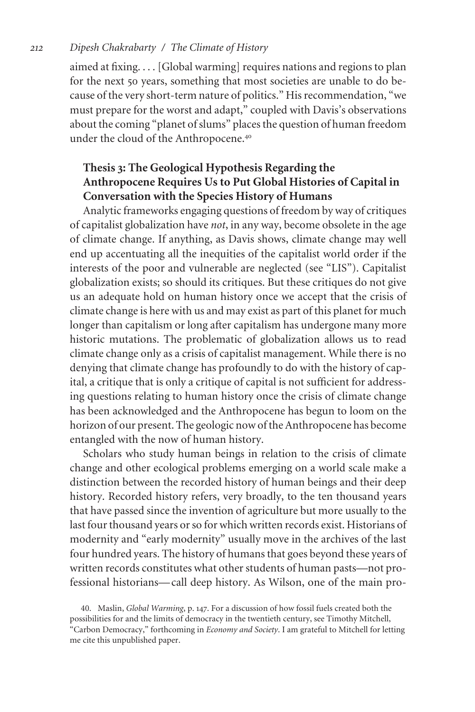aimed at fixing.... [Global warming] requires nations and regions to plan for the next 50 years, something that most societies are unable to do because of the very short-term nature of politics." His recommendation, "we must prepare for the worst and adapt," coupled with Davis's observations about the coming "planet of slums" places the question of human freedom under the cloud of the Anthropocene.<sup>40</sup>

# **Thesis 3: The Geological Hypothesis Regarding the Anthropocene Requires Us to Put Global Histories of Capital in Conversation with the Species History of Humans**

Analytic frameworks engaging questions of freedom by way of critiques of capitalist globalization have *not*, in any way, become obsolete in the age of climate change. If anything, as Davis shows, climate change may well end up accentuating all the inequities of the capitalist world order if the interests of the poor and vulnerable are neglected (see "LIS"). Capitalist globalization exists; so should its critiques. But these critiques do not give us an adequate hold on human history once we accept that the crisis of climate change is here with us and may exist as part of this planet for much longer than capitalism or long after capitalism has undergone many more historic mutations. The problematic of globalization allows us to read climate change only as a crisis of capitalist management. While there is no denying that climate change has profoundly to do with the history of capital, a critique that is only a critique of capital is not sufficient for addressing questions relating to human history once the crisis of climate change has been acknowledged and the Anthropocene has begun to loom on the horizon of our present. The geologic now of the Anthropocene has become entangled with the now of human history.

Scholars who study human beings in relation to the crisis of climate change and other ecological problems emerging on a world scale make a distinction between the recorded history of human beings and their deep history. Recorded history refers, very broadly, to the ten thousand years that have passed since the invention of agriculture but more usually to the last four thousand years or so for which written records exist. Historians of modernity and "early modernity" usually move in the archives of the last four hundred years. The history of humans that goes beyond these years of written records constitutes what other students of human pasts—not professional historians— call deep history. As Wilson, one of the main pro-

<sup>40.</sup> Maslin, *Global Warming*, p. 147. For a discussion of how fossil fuels created both the possibilities for and the limits of democracy in the twentieth century, see Timothy Mitchell, "Carbon Democracy," forthcoming in *Economy and Society*. I am grateful to Mitchell for letting me cite this unpublished paper.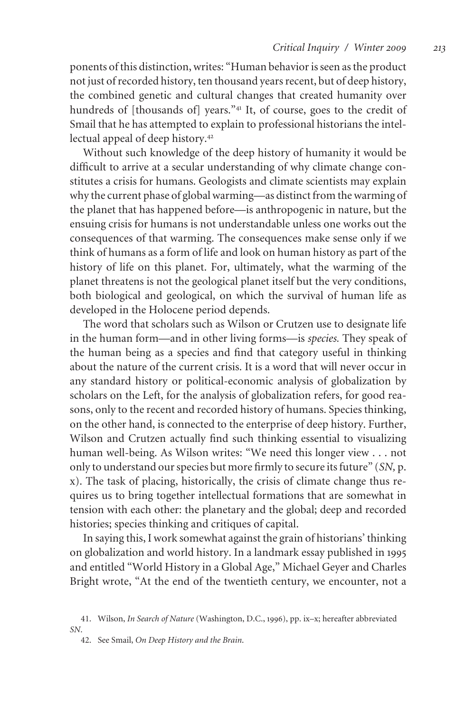ponents of this distinction, writes: "Human behavior is seen as the product not just of recorded history, ten thousand years recent, but of deep history, the combined genetic and cultural changes that created humanity over hundreds of [thousands of] years."<sup>41</sup> It, of course, goes to the credit of Smail that he has attempted to explain to professional historians the intellectual appeal of deep history.<sup>42</sup>

Without such knowledge of the deep history of humanity it would be difficult to arrive at a secular understanding of why climate change constitutes a crisis for humans. Geologists and climate scientists may explain why the current phase of global warming—as distinct from the warming of the planet that has happened before—is anthropogenic in nature, but the ensuing crisis for humans is not understandable unless one works out the consequences of that warming. The consequences make sense only if we think of humans as a form of life and look on human history as part of the history of life on this planet. For, ultimately, what the warming of the planet threatens is not the geological planet itself but the very conditions, both biological and geological, on which the survival of human life as developed in the Holocene period depends.

The word that scholars such as Wilson or Crutzen use to designate life in the human form—and in other living forms—is *species.* They speak of the human being as a species and find that category useful in thinking about the nature of the current crisis. It is a word that will never occur in any standard history or political-economic analysis of globalization by scholars on the Left, for the analysis of globalization refers, for good reasons, only to the recent and recorded history of humans. Species thinking, on the other hand, is connected to the enterprise of deep history. Further, Wilson and Crutzen actually find such thinking essential to visualizing human well-being. As Wilson writes: "We need this longer view . . . not only to understand our species but more firmly to secure its future" (*SN,* p. x). The task of placing, historically, the crisis of climate change thus requires us to bring together intellectual formations that are somewhat in tension with each other: the planetary and the global; deep and recorded histories; species thinking and critiques of capital.

In saying this, I work somewhat against the grain of historians' thinking on globalization and world history. In a landmark essay published in 1995 and entitled "World History in a Global Age," Michael Geyer and Charles Bright wrote, "At the end of the twentieth century, we encounter, not a

<sup>41.</sup> Wilson, *In Search of Nature* (Washington, D.C., 1996), pp. ix–x; hereafter abbreviated *SN*.

<sup>42.</sup> See Smail, *On Deep History and the Brain*.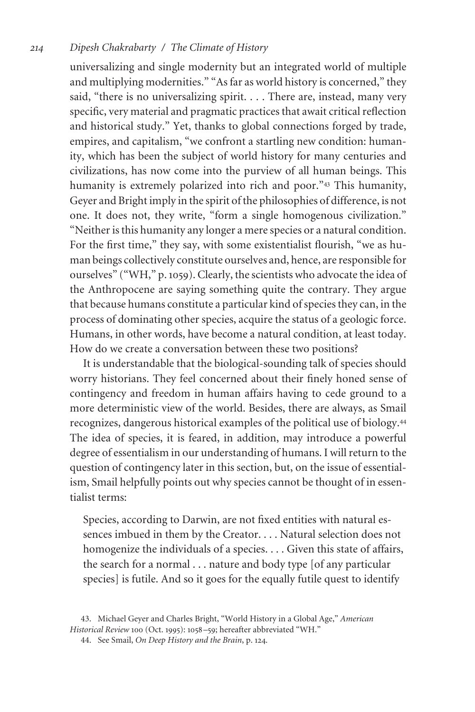universalizing and single modernity but an integrated world of multiple and multiplying modernities." "As far as world history is concerned," they said, "there is no universalizing spirit.... There are, instead, many very specific, very material and pragmatic practices that await critical reflection and historical study." Yet, thanks to global connections forged by trade, empires, and capitalism, "we confront a startling new condition: humanity, which has been the subject of world history for many centuries and civilizations, has now come into the purview of all human beings. This humanity is extremely polarized into rich and poor."<sup>43</sup> This humanity, Geyer and Bright imply in the spirit of the philosophies of difference, is not one. It does not, they write, "form a single homogenous civilization." "Neither is this humanity any longer a mere species or a natural condition. For the first time," they say, with some existentialist flourish, "we as human beings collectively constitute ourselves and, hence, are responsible for ourselves" ("WH," p. 1059). Clearly, the scientists who advocate the idea of the Anthropocene are saying something quite the contrary. They argue that because humans constitute a particular kind of species they can, in the process of dominating other species, acquire the status of a geologic force. Humans, in other words, have become a natural condition, at least today. How do we create a conversation between these two positions?

It is understandable that the biological-sounding talk of species should worry historians. They feel concerned about their finely honed sense of contingency and freedom in human affairs having to cede ground to a more deterministic view of the world. Besides, there are always, as Smail recognizes, dangerous historical examples of the political use of biology.<sup>44</sup> The idea of species, it is feared, in addition, may introduce a powerful degree of essentialism in our understanding of humans. I will return to the question of contingency later in this section, but, on the issue of essentialism, Smail helpfully points out why species cannot be thought of in essentialist terms:

Species, according to Darwin, are not fixed entities with natural essences imbued in them by the Creator.... Natural selection does not homogenize the individuals of a species.... Given this state of affairs, the search for a normal... nature and body type [of any particular species] is futile. And so it goes for the equally futile quest to identify

<sup>43.</sup> Michael Geyer and Charles Bright, "World History in a Global Age," *American Historical Review* 100 (Oct. 1995): 1058–59; hereafter abbreviated "WH."

<sup>44.</sup> See Smail, *On Deep History and the Brain*, p. 124.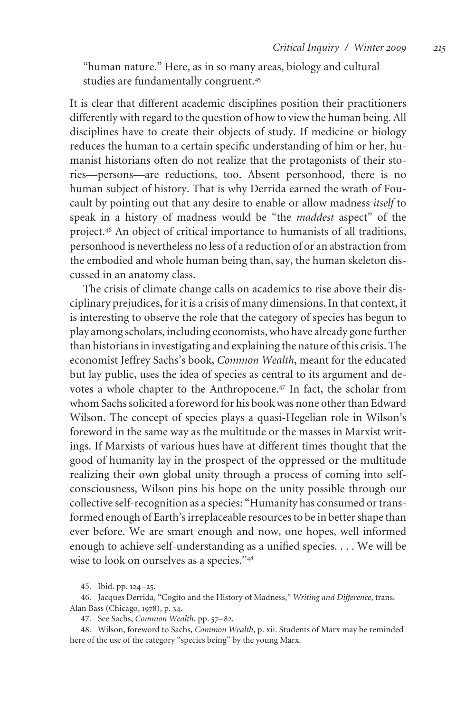"human nature." Here, as in so many areas, biology and cultural studies are fundamentally congruent.<sup>45</sup>

It is clear that different academic disciplines position their practitioners differently with regard to the question of how to view the human being. All disciplines have to create their objects of study. If medicine or biology reduces the human to a certain specific understanding of him or her, humanist historians often do not realize that the protagonists of their stories—persons—are reductions, too. Absent personhood, there is no human subject of history. That is why Derrida earned the wrath of Foucault by pointing out that any desire to enable or allow madness *itself* to speak in a history of madness would be "the *maddest* aspect" of the project.<sup>46</sup> An object of critical importance to humanists of all traditions, personhood is nevertheless no less of a reduction of or an abstraction from the embodied and whole human being than, say, the human skeleton discussed in an anatomy class.

The crisis of climate change calls on academics to rise above their disciplinary prejudices, for it is a crisis of many dimensions. In that context, it is interesting to observe the role that the category of species has begun to play among scholars, including economists, who have already gone further than historians in investigating and explaining the nature of this crisis. The economist Jeffrey Sachs's book, *Common Wealth*, meant for the educated but lay public, uses the idea of species as central to its argument and devotes a whole chapter to the Anthropocene.<sup>47</sup> In fact, the scholar from whom Sachs solicited a foreword for his book was none other than Edward Wilson. The concept of species plays a quasi-Hegelian role in Wilson's foreword in the same way as the multitude or the masses in Marxist writings. If Marxists of various hues have at different times thought that the good of humanity lay in the prospect of the oppressed or the multitude realizing their own global unity through a process of coming into selfconsciousness, Wilson pins his hope on the unity possible through our collective self-recognition as a species: "Humanity has consumed or transformed enough of Earth's irreplaceable resources to be in better shape than ever before. We are smart enough and now, one hopes, well informed enough to achieve self-understanding as a unified species. . . . We will be wise to look on ourselves as a species."<sup>48</sup>

45. Ibid. pp. 124–25.

46. Jacques Derrida, "Cogito and the History of Madness," *Writing and Difference*, trans. Alan Bass (Chicago, 1978), p. 34.

47. See Sachs, *Common Wealth*, pp. 57–82.

48. Wilson, foreword to Sachs, *Common Wealth*, p. xii. Students of Marx may be reminded here of the use of the category "species being" by the young Marx.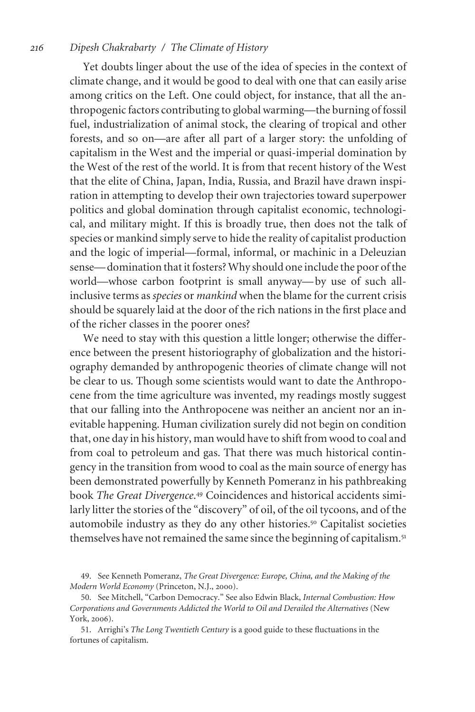Yet doubts linger about the use of the idea of species in the context of climate change, and it would be good to deal with one that can easily arise among critics on the Left. One could object, for instance, that all the anthropogenic factors contributing to global warming—the burning of fossil fuel, industrialization of animal stock, the clearing of tropical and other forests, and so on—are after all part of a larger story: the unfolding of capitalism in the West and the imperial or quasi-imperial domination by the West of the rest of the world. It is from that recent history of the West that the elite of China, Japan, India, Russia, and Brazil have drawn inspiration in attempting to develop their own trajectories toward superpower politics and global domination through capitalist economic, technological, and military might. If this is broadly true, then does not the talk of species or mankind simply serve to hide the reality of capitalist production and the logic of imperial—formal, informal, or machinic in a Deleuzian sense— domination that it fosters? Why should one include the poor of the world—whose carbon footprint is small anyway— by use of such allinclusive terms as *species* or *mankind* when the blame for the current crisis should be squarely laid at the door of the rich nations in the first place and of the richer classes in the poorer ones?

We need to stay with this question a little longer; otherwise the difference between the present historiography of globalization and the historiography demanded by anthropogenic theories of climate change will not be clear to us. Though some scientists would want to date the Anthropocene from the time agriculture was invented, my readings mostly suggest that our falling into the Anthropocene was neither an ancient nor an inevitable happening. Human civilization surely did not begin on condition that, one day in his history, man would have to shift from wood to coal and from coal to petroleum and gas. That there was much historical contingency in the transition from wood to coal as the main source of energy has been demonstrated powerfully by Kenneth Pomeranz in his pathbreaking book *The Great Divergence*. <sup>49</sup> Coincidences and historical accidents similarly litter the stories of the "discovery" of oil, of the oil tycoons, and of the automobile industry as they do any other histories.<sup>50</sup> Capitalist societies themselves have not remained the same since the beginning of capitalism.<sup>51</sup>

50. See Mitchell, "Carbon Democracy." See also Edwin Black, *Internal Combustion: How Corporations and Governments Addicted the World to Oil and Derailed the Alternatives* (New York, 2006).

51. Arrighi's *The Long Twentieth Century* is a good guide to these fluctuations in the fortunes of capitalism.

<sup>49.</sup> See Kenneth Pomeranz, *The Great Divergence: Europe, China, and the Making of the Modern World Economy* (Princeton, N.J., 2000).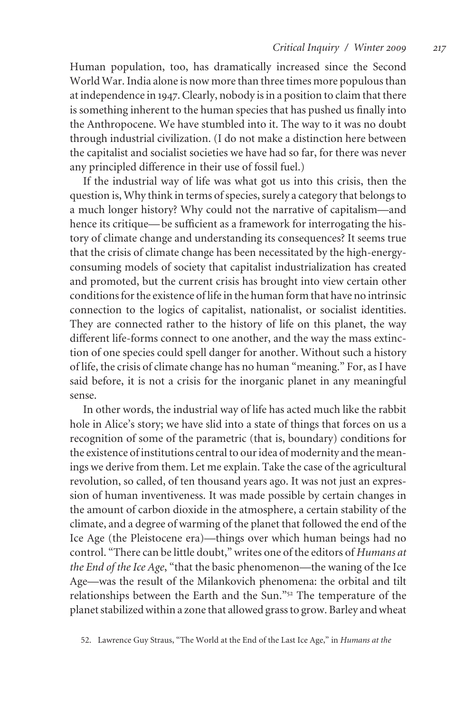Human population, too, has dramatically increased since the Second World War. India alone is now more than three times more populous than at independence in 1947. Clearly, nobody is in a position to claim that there is something inherent to the human species that has pushed us finally into the Anthropocene. We have stumbled into it. The way to it was no doubt through industrial civilization. (I do not make a distinction here between the capitalist and socialist societies we have had so far, for there was never any principled difference in their use of fossil fuel.)

If the industrial way of life was what got us into this crisis, then the question is, Why think in terms of species, surely a category that belongs to a much longer history? Why could not the narrative of capitalism—and hence its critique— be sufficient as a framework for interrogating the history of climate change and understanding its consequences? It seems true that the crisis of climate change has been necessitated by the high-energyconsuming models of society that capitalist industrialization has created and promoted, but the current crisis has brought into view certain other conditions for the existence of life in the human form that have no intrinsic connection to the logics of capitalist, nationalist, or socialist identities. They are connected rather to the history of life on this planet, the way different life-forms connect to one another, and the way the mass extinction of one species could spell danger for another. Without such a history of life, the crisis of climate change has no human "meaning." For, as I have said before, it is not a crisis for the inorganic planet in any meaningful sense.

In other words, the industrial way of life has acted much like the rabbit hole in Alice's story; we have slid into a state of things that forces on us a recognition of some of the parametric (that is, boundary) conditions for the existence of institutions central to our idea of modernity and the meanings we derive from them. Let me explain. Take the case of the agricultural revolution, so called, of ten thousand years ago. It was not just an expression of human inventiveness. It was made possible by certain changes in the amount of carbon dioxide in the atmosphere, a certain stability of the climate, and a degree of warming of the planet that followed the end of the Ice Age (the Pleistocene era)—things over which human beings had no control. "There can be little doubt," writes one of the editors of *Humans at the End of the Ice Age*, "that the basic phenomenon—the waning of the Ice Age—was the result of the Milankovich phenomena: the orbital and tilt relationships between the Earth and the Sun."<sup>52</sup> The temperature of the planet stabilized within a zone that allowed grass to grow. Barley and wheat

<sup>52.</sup> Lawrence Guy Straus, "The World at the End of the Last Ice Age," in *Humans at the*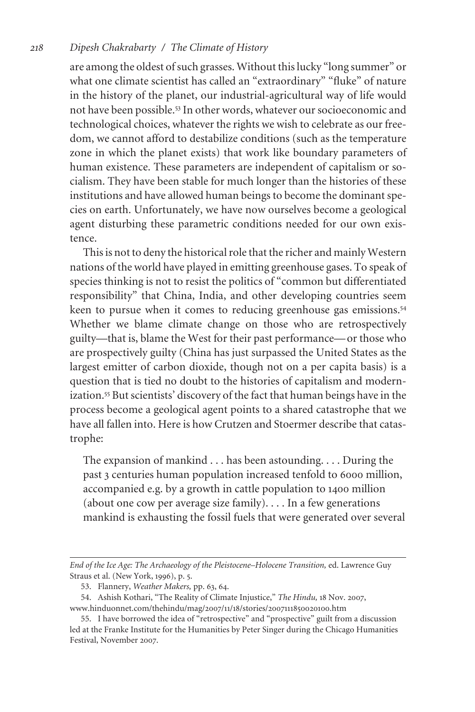are among the oldest of such grasses. Without this lucky "long summer" or what one climate scientist has called an "extraordinary" "fluke" of nature in the history of the planet, our industrial-agricultural way of life would not have been possible.<sup>53</sup> In other words, whatever our socioeconomic and technological choices, whatever the rights we wish to celebrate as our freedom, we cannot afford to destabilize conditions (such as the temperature zone in which the planet exists) that work like boundary parameters of human existence. These parameters are independent of capitalism or socialism. They have been stable for much longer than the histories of these institutions and have allowed human beings to become the dominant species on earth. Unfortunately, we have now ourselves become a geological agent disturbing these parametric conditions needed for our own existence.

This is not to deny the historical role that the richer and mainly Western nations of the world have played in emitting greenhouse gases. To speak of species thinking is not to resist the politics of "common but differentiated responsibility" that China, India, and other developing countries seem keen to pursue when it comes to reducing greenhouse gas emissions.<sup>54</sup> Whether we blame climate change on those who are retrospectively guilty—that is, blame the West for their past performance— or those who are prospectively guilty (China has just surpassed the United States as the largest emitter of carbon dioxide, though not on a per capita basis) is a question that is tied no doubt to the histories of capitalism and modernization.<sup>55</sup> But scientists' discovery of the fact that human beings have in the process become a geological agent points to a shared catastrophe that we have all fallen into. Here is how Crutzen and Stoermer describe that catastrophe:

The expansion of mankind . . . has been astounding.... During the past 3 centuries human population increased tenfold to 6000 million, accompanied e.g. by a growth in cattle population to 1400 million (about one cow per average size family). . . . In a few generations mankind is exhausting the fossil fuels that were generated over several

*End of the Ice Age: The Archaeology of the Pleistocene–Holocene Transition,* ed. Lawrence Guy Straus et al. (New York, 1996), p. 5.

<sup>53.</sup> Flannery, *Weather Makers,* pp. 63, 64.

<sup>54.</sup> Ashish Kothari, "The Reality of Climate Injustice," *The Hindu,* 18 Nov. 2007,

www.hinduonnet.com/thehindu/mag/2007/11/18/stories/2007111850020100.htm

<sup>55.</sup> I have borrowed the idea of "retrospective" and "prospective" guilt from a discussion led at the Franke Institute for the Humanities by Peter Singer during the Chicago Humanities Festival, November 2007.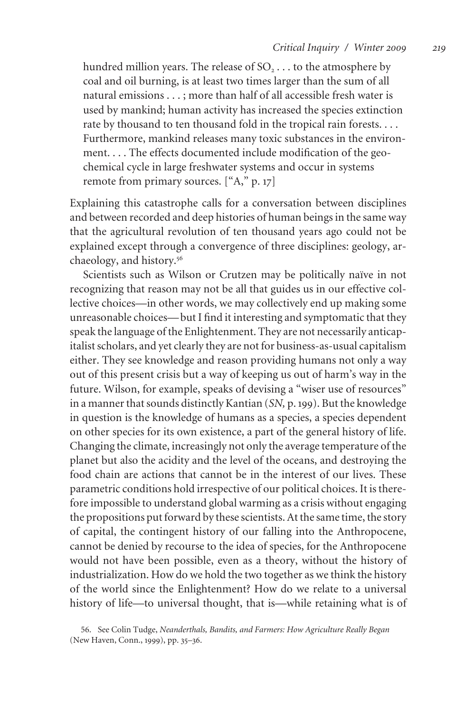hundred million years. The release of  $SO_2$ ... to the atmosphere by coal and oil burning, is at least two times larger than the sum of all natural emissions...; more than half of all accessible fresh water is used by mankind; human activity has increased the species extinction rate by thousand to ten thousand fold in the tropical rain forests.... Furthermore, mankind releases many toxic substances in the environment. . . . The effects documented include modification of the geochemical cycle in large freshwater systems and occur in systems remote from primary sources. ["A," p. 17]

Explaining this catastrophe calls for a conversation between disciplines and between recorded and deep histories of human beings in the same way that the agricultural revolution of ten thousand years ago could not be explained except through a convergence of three disciplines: geology, archaeology, and history.<sup>56</sup>

Scientists such as Wilson or Crutzen may be politically naïve in not recognizing that reason may not be all that guides us in our effective collective choices—in other words, we may collectively end up making some unreasonable choices— but I find it interesting and symptomatic that they speak the language of the Enlightenment. They are not necessarily anticapitalist scholars, and yet clearly they are not for business-as-usual capitalism either. They see knowledge and reason providing humans not only a way out of this present crisis but a way of keeping us out of harm's way in the future. Wilson, for example, speaks of devising a "wiser use of resources" in a manner that sounds distinctly Kantian (*SN,* p.199). But the knowledge in question is the knowledge of humans as a species, a species dependent on other species for its own existence, a part of the general history of life. Changing the climate, increasingly not only the average temperature of the planet but also the acidity and the level of the oceans, and destroying the food chain are actions that cannot be in the interest of our lives. These parametric conditions hold irrespective of our political choices. It is therefore impossible to understand global warming as a crisis without engaging the propositions put forward by these scientists. At the same time, the story of capital, the contingent history of our falling into the Anthropocene, cannot be denied by recourse to the idea of species, for the Anthropocene would not have been possible, even as a theory, without the history of industrialization. How do we hold the two together as we think the history of the world since the Enlightenment? How do we relate to a universal history of life—to universal thought, that is—while retaining what is of

<sup>56.</sup> See Colin Tudge, *Neanderthals, Bandits, and Farmers: How Agriculture Really Began* (New Haven, Conn., 1999), pp. 35–36.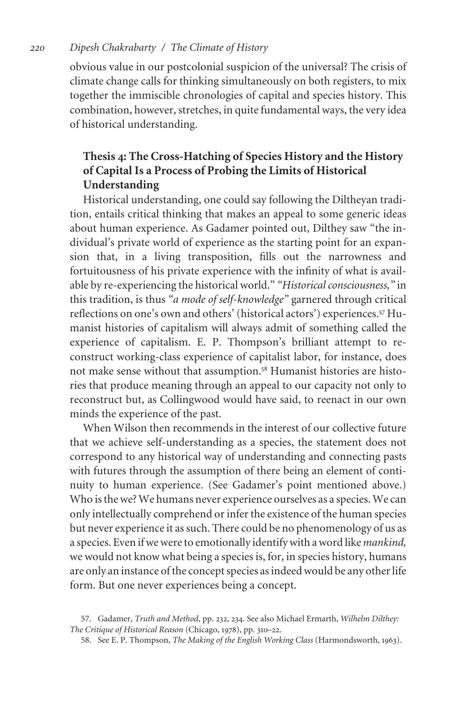obvious value in our postcolonial suspicion of the universal? The crisis of climate change calls for thinking simultaneously on both registers, to mix together the immiscible chronologies of capital and species history. This combination, however, stretches, in quite fundamental ways, the very idea of historical understanding.

# **Thesis 4: The Cross-Hatching of Species History and the History of Capital Is a Process of Probing the Limits of Historical Understanding**

Historical understanding, one could say following the Diltheyan tradition, entails critical thinking that makes an appeal to some generic ideas about human experience. As Gadamer pointed out, Dilthey saw "the individual's private world of experience as the starting point for an expansion that, in a living transposition, fills out the narrowness and fortuitousness of his private experience with the infinity of what is available by re-experiencing the historical world." *"Historical consciousness,"* in this tradition, is thus *"a mode of self-knowledge"* garnered through critical reflections on one's own and others' (historical actors') experiences.<sup>57</sup> Humanist histories of capitalism will always admit of something called the experience of capitalism. E. P. Thompson's brilliant attempt to reconstruct working-class experience of capitalist labor, for instance, does not make sense without that assumption.<sup>58</sup> Humanist histories are histories that produce meaning through an appeal to our capacity not only to reconstruct but, as Collingwood would have said, to reenact in our own minds the experience of the past.

When Wilson then recommends in the interest of our collective future that we achieve self-understanding as a species, the statement does not correspond to any historical way of understanding and connecting pasts with futures through the assumption of there being an element of continuity to human experience. (See Gadamer's point mentioned above.) Who is the we? We humans never experience ourselves as a species. We can only intellectually comprehend or infer the existence of the human species but never experience it as such. There could be no phenomenology of us as a species. Even if we were to emotionally identify with a word like*mankind,* we would not know what being a species is, for, in species history, humans are only an instance of the concept species as indeed would be any other life form. But one never experiences being a concept.

<sup>57.</sup> Gadamer, *Truth and Method*, pp. 232, 234. See also Michael Ermarth, *Wilhelm Dilthey: The Critique of Historical Reason* (Chicago, 1978), pp. 310–22.

<sup>58.</sup> See E. P. Thompson, *The Making of the English Working Class* (Harmondsworth, 1963).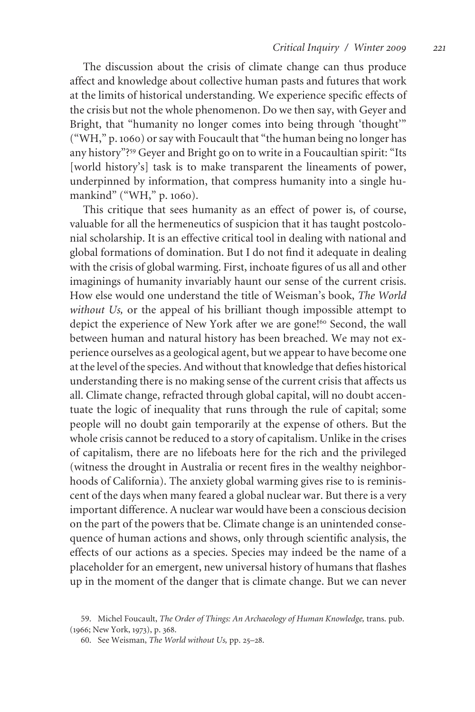The discussion about the crisis of climate change can thus produce affect and knowledge about collective human pasts and futures that work at the limits of historical understanding. We experience specific effects of the crisis but not the whole phenomenon. Do we then say, with Geyer and Bright, that "humanity no longer comes into being through 'thought'" ("WH," p. 1060) or say with Foucault that "the human being no longer has any history"?<sup>59</sup> Geyer and Bright go on to write in a Foucaultian spirit: "Its [world history's] task is to make transparent the lineaments of power, underpinned by information, that compress humanity into a single humankind" ("WH," p. 1060).

This critique that sees humanity as an effect of power is, of course, valuable for all the hermeneutics of suspicion that it has taught postcolonial scholarship. It is an effective critical tool in dealing with national and global formations of domination. But I do not find it adequate in dealing with the crisis of global warming. First, inchoate figures of us all and other imaginings of humanity invariably haunt our sense of the current crisis. How else would one understand the title of Weisman's book, *The World without Us,* or the appeal of his brilliant though impossible attempt to depict the experience of New York after we are gone!<sup>60</sup> Second, the wall between human and natural history has been breached. We may not experience ourselves as a geological agent, but we appear to have become one at the level of the species. And without that knowledge that defies historical understanding there is no making sense of the current crisis that affects us all. Climate change, refracted through global capital, will no doubt accentuate the logic of inequality that runs through the rule of capital; some people will no doubt gain temporarily at the expense of others. But the whole crisis cannot be reduced to a story of capitalism. Unlike in the crises of capitalism, there are no lifeboats here for the rich and the privileged (witness the drought in Australia or recent fires in the wealthy neighborhoods of California). The anxiety global warming gives rise to is reminiscent of the days when many feared a global nuclear war. But there is a very important difference. A nuclear war would have been a conscious decision on the part of the powers that be. Climate change is an unintended consequence of human actions and shows, only through scientific analysis, the effects of our actions as a species. Species may indeed be the name of a placeholder for an emergent, new universal history of humans that flashes up in the moment of the danger that is climate change. But we can never

<sup>59.</sup> Michel Foucault, *The Order of Things: An Archaeology of Human Knowledge,* trans. pub. (1966; New York, 1973), p. 368.

<sup>60.</sup> See Weisman, *The World without Us,* pp. 25–28.